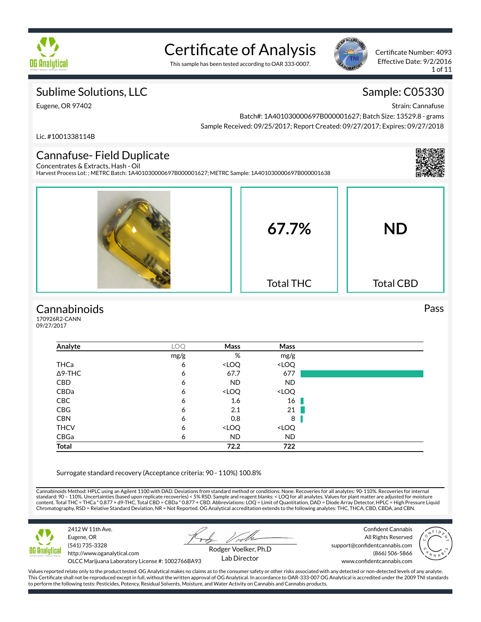

# Certificate of Analysis

This sample has been tested according to OAR 333-0007.



Certificate Number: 4093 Effective Date: 9/2/2016 1 of 11

### Sublime Solutions, LLC

Strain: Cannafuse

Sample: C05330

Eugene, OR 97402

Batch#: 1A401030000697B000001627; Batch Size: 13529.8 - grams Sample Received: 09/25/2017; Report Created: 09/27/2017; Expires: 09/27/2018

Lic. #1001338114B

#### Cannafuse- Field Duplicate Concentrates & Extracts, Hash - Oil

Harvest Process Lot: ; METRC Batch: 1A401030000697B000001627; METRC Sample: 1A401030000697B000001638



### **Cannabinoids**

170926R2-CANN 09/27/2017

| Analyte        | LOQ  | Mass                                                     | Mass                         |  |
|----------------|------|----------------------------------------------------------|------------------------------|--|
|                | mg/g | %                                                        | mg/g                         |  |
| THCa           | 6    | <loq< td=""><td><loq< td=""><td></td></loq<></td></loq<> | <loq< td=""><td></td></loq<> |  |
| $\Delta$ 9-THC | 6    | 67.7                                                     | 677                          |  |
| <b>CBD</b>     | 6    | <b>ND</b>                                                | <b>ND</b>                    |  |
| CBDa           | 6    | <loq< td=""><td><loq< td=""><td></td></loq<></td></loq<> | <loq< td=""><td></td></loq<> |  |
| CBC            | 6    | 1.6                                                      | 16                           |  |
| CBG            | 6    | 2.1                                                      | 21                           |  |
| <b>CBN</b>     | 6    | 0.8                                                      | 8                            |  |
| <b>THCV</b>    | 6    | <loq< td=""><td><loq< td=""><td></td></loq<></td></loq<> | <loq< td=""><td></td></loq<> |  |
| CBGa           | 6    | <b>ND</b>                                                | <b>ND</b>                    |  |
| <b>Total</b>   |      | 72.2                                                     | 722                          |  |

Surrogate standard recovery (Acceptance criteria: 90 - 110%) 100.8%

Cannabinoids Method: HPLC using an Agilent 1100 with DAD. Deviations from standard method or conditions: None. Recoveries for all analytes: 90-110%. Recoveries for internal standard: 90 – 110%. Uncertainties (based upon replicate recoveries) < 5% RSD. Sample and reagent blanks: < LOQ for all analytes. Values for plant matter are adjusted for moisture<br>content. Total THC = THCa \* 0.877 + d9-THC Chromatography, RSD = Relative Standard Deviation, NR = Not Reported. OG Analytical accreditation extends to the following analytes: THC, THCA, CBD, CBDA, and CBN.



2412 W 11th Ave. Eugene, OR (541) 735-3328 http://www.oganalytical.com

Confident Cannabis All Rights Reserved support@confidentcannabis.com www.confidentcannabis.com



OLCC Marijuana Laboratory License #: 1002766BA93

Rodger Voelker, Ph.D Lab Director

(866) 506-5866

Values reported relate only to the product tested. OG Analytical makes no claims as to the consumer safety or other risks associated with any detected or non-detected levels of any analyte. This Certificate shall not be reproduced except in full, without the written approval of OG Analytical. In accordance to OAR-333-007 OG Analytical is accredited under the 2009 TNI standards to perform the following tests: Pesticides, Potency, Residual Solvents, Moisture, and Water Activity on Cannabis and Cannabis products.

### Pass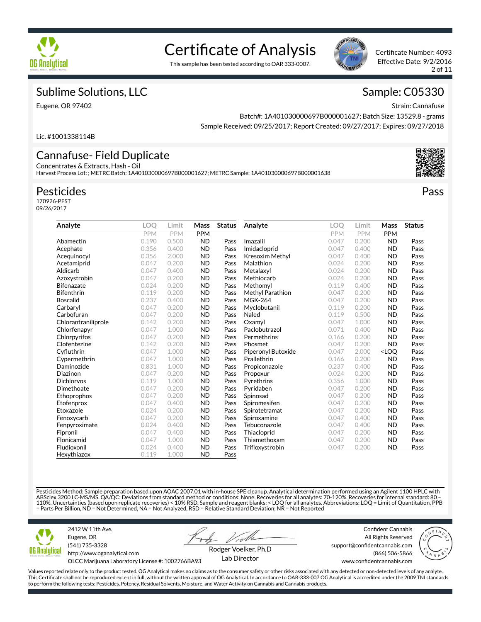

# Certificate of Analysis

This sample has been tested according to OAR 333-0007.



Certificate Number: 4093 Effective Date: 9/2/2016 2 of 11

### Sublime Solutions, LLC

Eugene, OR 97402

### Sample: C05330

Strain: Cannafuse

Batch#: 1A401030000697B000001627; Batch Size: 13529.8 - grams Sample Received: 09/25/2017; Report Created: 09/27/2017; Expires: 09/27/2018

Lic. #1001338114B

#### Cannafuse- Field Duplicate Concentrates & Extracts, Hash - Oil

Harvest Process Lot: ; METRC Batch: 1A401030000697B000001627; METRC Sample: 1A401030000697B000001638

### Pesticides

170926-PEST 09/26/2017

| Analyte             | LOO   | Limit      | Mass       | <b>Status</b> | Analyte            | <b>LOO</b> | Limit | Mass                             | <b>Status</b> |
|---------------------|-------|------------|------------|---------------|--------------------|------------|-------|----------------------------------|---------------|
|                     | PPM   | <b>PPM</b> | <b>PPM</b> |               |                    | PPM        | PPM   | <b>PPM</b>                       |               |
| Abamectin           | 0.190 | 0.500      | <b>ND</b>  | Pass          | Imazalil           | 0.047      | 0.200 | <b>ND</b>                        | Pass          |
| Acephate            | 0.356 | 0.400      | <b>ND</b>  | Pass          | Imidacloprid       | 0.047      | 0.400 | <b>ND</b>                        | Pass          |
| Acequinocyl         | 0.356 | 2.000      | <b>ND</b>  | Pass          | Kresoxim Methyl    | 0.047      | 0.400 | <b>ND</b>                        | Pass          |
| Acetamiprid         | 0.047 | 0.200      | <b>ND</b>  | Pass          | Malathion          | 0.024      | 0.200 | <b>ND</b>                        | Pass          |
| Aldicarb            | 0.047 | 0.400      | <b>ND</b>  | Pass          | Metalaxyl          | 0.024      | 0.200 | <b>ND</b>                        | Pass          |
| Azoxystrobin        | 0.047 | 0.200      | <b>ND</b>  | Pass          | Methiocarb         | 0.024      | 0.200 | <b>ND</b>                        | Pass          |
| <b>Bifenazate</b>   | 0.024 | 0.200      | <b>ND</b>  | Pass          | Methomyl           | 0.119      | 0.400 | <b>ND</b>                        | Pass          |
| <b>Bifenthrin</b>   | 0.119 | 0.200      | <b>ND</b>  | Pass          | Methyl Parathion   | 0.047      | 0.200 | <b>ND</b>                        | Pass          |
| <b>Boscalid</b>     | 0.237 | 0.400      | <b>ND</b>  | Pass          | <b>MGK-264</b>     | 0.047      | 0.200 | <b>ND</b>                        | Pass          |
| Carbaryl            | 0.047 | 0.200      | <b>ND</b>  | Pass          | Myclobutanil       | 0.119      | 0.200 | <b>ND</b>                        | Pass          |
| Carbofuran          | 0.047 | 0.200      | <b>ND</b>  | Pass          | Naled              | 0.119      | 0.500 | <b>ND</b>                        | Pass          |
| Chlorantraniliprole | 0.142 | 0.200      | <b>ND</b>  | Pass          | Oxamyl             | 0.047      | 1.000 | <b>ND</b>                        | Pass          |
| Chlorfenapyr        | 0.047 | 1.000      | <b>ND</b>  | Pass          | Paclobutrazol      | 0.071      | 0.400 | <b>ND</b>                        | Pass          |
| Chlorpyrifos        | 0.047 | 0.200      | <b>ND</b>  | Pass          | Permethrins        | 0.166      | 0.200 | <b>ND</b>                        | Pass          |
| Clofentezine        | 0.142 | 0.200      | <b>ND</b>  | Pass          | Phosmet            | 0.047      | 0.200 | <b>ND</b>                        | Pass          |
| Cyfluthrin          | 0.047 | 1.000      | <b>ND</b>  | Pass          | Piperonyl Butoxide | 0.047      | 2.000 | <loq< td=""><td>Pass</td></loq<> | Pass          |
| Cypermethrin        | 0.047 | 1.000      | <b>ND</b>  | Pass          | Prallethrin        | 0.166      | 0.200 | <b>ND</b>                        | Pass          |
| Daminozide          | 0.831 | 1.000      | <b>ND</b>  | Pass          | Propiconazole      | 0.237      | 0.400 | <b>ND</b>                        | Pass          |
| Diazinon            | 0.047 | 0.200      | <b>ND</b>  | Pass          | Propoxur           | 0.024      | 0.200 | <b>ND</b>                        | Pass          |
| <b>Dichlorvos</b>   | 0.119 | 1.000      | <b>ND</b>  | Pass          | Pyrethrins         | 0.356      | 1.000 | <b>ND</b>                        | Pass          |
| Dimethoate          | 0.047 | 0.200      | <b>ND</b>  | Pass          | Pyridaben          | 0.047      | 0.200 | <b>ND</b>                        | Pass          |
| Ethoprophos         | 0.047 | 0.200      | <b>ND</b>  | Pass          | Spinosad           | 0.047      | 0.200 | <b>ND</b>                        | Pass          |
| Etofenprox          | 0.047 | 0.400      | <b>ND</b>  | Pass          | Spiromesifen       | 0.047      | 0.200 | <b>ND</b>                        | Pass          |
| Etoxazole           | 0.024 | 0.200      | <b>ND</b>  | Pass          | Spirotetramat      | 0.047      | 0.200 | <b>ND</b>                        | Pass          |
| Fenoxycarb          | 0.047 | 0.200      | <b>ND</b>  | Pass          | Spiroxamine        | 0.047      | 0.400 | <b>ND</b>                        | Pass          |
| Fenpyroximate       | 0.024 | 0.400      | <b>ND</b>  | Pass          | Tebuconazole       | 0.047      | 0.400 | <b>ND</b>                        | Pass          |
| Fipronil            | 0.047 | 0.400      | <b>ND</b>  | Pass          | Thiacloprid        | 0.047      | 0.200 | <b>ND</b>                        | Pass          |
| Flonicamid          | 0.047 | 1.000      | <b>ND</b>  | Pass          | Thiamethoxam       | 0.047      | 0.200 | <b>ND</b>                        | Pass          |
| Fludioxonil         | 0.024 | 0.400      | <b>ND</b>  | Pass          | Trifloxystrobin    | 0.047      | 0.200 | <b>ND</b>                        | Pass          |
| Hexythiazox         | 0.119 | 1.000      | <b>ND</b>  | Pass          |                    |            |       |                                  |               |

Pesticides Method: Sample preparation based upon AOAC 2007.01 with in-house SPE cleanup. Analytical determination performed using an Agilent 1100 HPLC with<br>ABSciex 3200 LC-MS/MS. QA/QC: Deviations from standard method or c = Parts Per Billion, ND = Not Determined, NA = Not Analyzed, RSD = Relative Standard Deviation; NR = Not Reported



2412 W 11th Ave. Eugene, OR (541) 735-3328 http://www.oganalytical.com

Confident Cannabis All Rights Reserved support@confidentcannabis.com



OLCC Marijuana Laboratory License #: 1002766BA93

Rodger Voelker, Ph.D Lab Director

(866) 506-5866 www.confidentcannabis.com

Values reported relate only to the product tested. OG Analytical makes no claims as to the consumer safety or other risks associated with any detected or non-detected levels of any analyte. This Certificate shall not be reproduced except in full, without the written approval of OG Analytical. In accordance to OAR-333-007 OG Analytical is accredited under the 2009 TNI standards to perform the following tests: Pesticides, Potency, Residual Solvents, Moisture, and Water Activity on Cannabis and Cannabis products.

Pass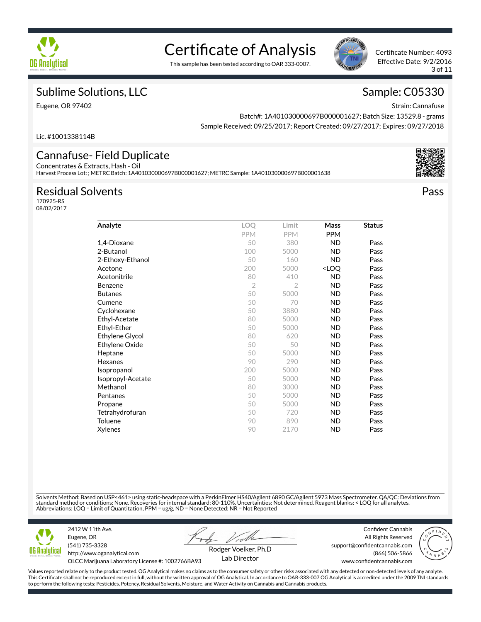

# Certificate of Analysis

This sample has been tested according to OAR 333-0007.



Certificate Number: 4093 Effective Date: 9/2/2016 3 of 11

### Sublime Solutions, LLC

Eugene, OR 97402

### Sample: C05330

Strain: Cannafuse

Batch#: 1A401030000697B000001627; Batch Size: 13529.8 - grams Sample Received: 09/25/2017; Report Created: 09/27/2017; Expires: 09/27/2018

Lic. #1001338114B

#### Cannafuse- Field Duplicate Concentrates & Extracts, Hash - Oil

Harvest Process Lot: ; METRC Batch: 1A401030000697B000001627; METRC Sample: 1A401030000697B000001638

### Residual Solvents

170925-RS 08/02/2017

| Analyte           | <b>LOO</b>     | Limit          | Mass                             | <b>Status</b> |
|-------------------|----------------|----------------|----------------------------------|---------------|
|                   | <b>PPM</b>     | PPM            | <b>PPM</b>                       |               |
| 1,4-Dioxane       | 50             | 380            | <b>ND</b>                        | Pass          |
| 2-Butanol         | 100            | 5000           | ND                               | Pass          |
| 2-Ethoxy-Ethanol  | 50             | 160            | <b>ND</b>                        | Pass          |
| Acetone           | 200            | 5000           | <loq< td=""><td>Pass</td></loq<> | Pass          |
| Acetonitrile      | 80             | 410            | <b>ND</b>                        | Pass          |
| <b>Benzene</b>    | $\overline{2}$ | $\overline{2}$ | <b>ND</b>                        | Pass          |
| <b>Butanes</b>    | 50             | 5000           | <b>ND</b>                        | Pass          |
| Cumene            | 50             | 70             | ND                               | Pass          |
| Cyclohexane       | 50             | 3880           | <b>ND</b>                        | Pass          |
| Ethyl-Acetate     | 80             | 5000           | <b>ND</b>                        | Pass          |
| Ethyl-Ether       | 50             | 5000           | <b>ND</b>                        | Pass          |
| Ethylene Glycol   | 80             | 620            | ND.                              | Pass          |
| Ethylene Oxide    | 50             | 50             | <b>ND</b>                        | Pass          |
| Heptane           | 50             | 5000           | <b>ND</b>                        | Pass          |
| Hexanes           | 90             | 290            | <b>ND</b>                        | Pass          |
| Isopropanol       | 200            | 5000           | <b>ND</b>                        | Pass          |
| Isopropyl-Acetate | 50             | 5000           | ND                               | Pass          |
| Methanol          | 80             | 3000           | <b>ND</b>                        | Pass          |
| Pentanes          | 50             | 5000           | <b>ND</b>                        | Pass          |
| Propane           | 50             | 5000           | <b>ND</b>                        | Pass          |
| Tetrahydrofuran   | 50             | 720            | <b>ND</b>                        | Pass          |
| Toluene           | 90             | 890            | <b>ND</b>                        | Pass          |
| <b>Xylenes</b>    | 90             | 2170           | <b>ND</b>                        | Pass          |

Solvents Method: Based on USP<461> using static-headspace with a PerkinElmer HS40/Agilent 6890 GC/Agilent 5973 Mass Spectrometer. QA/QC: Deviations from standard method or conditions: None. Recoveries for internal standard: 80-110%. Uncertainties: Not determined. Reagent blanks: < LOQ for all analytes.<br>Abbreviations: LOQ = Limit of Quantitation, PPM = ug/g, ND = None Detec



Eugene, OR (541) 735-3328 http://www.oganalytical.com

2412 W 11th Ave.

Confident Cannabis All Rights Reserved support@confidentcannabis.com



OLCC Marijuana Laboratory License #: 1002766BA93

Rodger Voelker, Ph.D Lab Director

www.confidentcannabis.com

(866) 506-5866

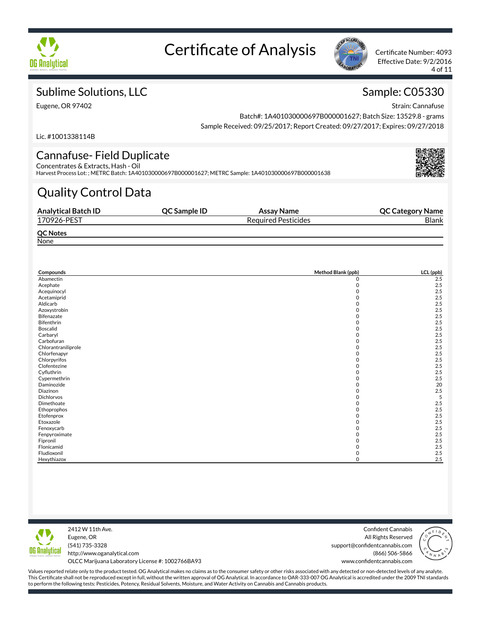



Effective Date: 9/2/2016 4 of 11

### Sublime Solutions, LLC

Eugene, OR 97402

## Sample: C05330

Strain: Cannafuse

Batch#: 1A401030000697B000001627; Batch Size: 13529.8 - grams Sample Received: 09/25/2017; Report Created: 09/27/2017; Expires: 09/27/2018

Lic. #1001338114B

#### Cannafuse- Field Duplicate Concentrates & Extracts, Hash - Oil

Harvest Process Lot: ; METRC Batch: 1A401030000697B000001627; METRC Sample: 1A401030000697B000001638

## Quality Control Data

| <b>Analytical Batch ID</b> | QC Sample ID | Assay Name                 | <b>QC Category Name</b> |
|----------------------------|--------------|----------------------------|-------------------------|
| 170926-PEST                |              | <b>Required Pesticides</b> | <b>Blank</b>            |
| <b>QC Notes</b>            |              |                            |                         |
| None                       |              |                            |                         |

| Compounds           | Method Blank (ppb) | LCL (ppb) |
|---------------------|--------------------|-----------|
| Abamectin           | 0                  | 2.5       |
| Acephate            | $\mathbf 0$        | 2.5       |
| Acequinocyl         | 0                  | 2.5       |
| Acetamiprid         | 0                  | 2.5       |
| Aldicarb            | 0                  | 2.5       |
| Azoxystrobin        | 0                  | 2.5       |
| Bifenazate          | 0                  | 2.5       |
| Bifenthrin          | 0                  | 2.5       |
| Boscalid            | 0                  | 2.5       |
| Carbaryl            | 0                  | 2.5       |
| Carbofuran          | ი                  | 2.5       |
| Chlorantraniliprole | 0                  | 2.5       |
| Chlorfenapyr        | 0                  | 2.5       |
| Chlorpyrifos        | 0                  | 2.5       |
| Clofentezine        | 0                  | 2.5       |
| Cyfluthrin          | 0                  | 2.5       |
| Cypermethrin        | 0                  | 2.5       |
| Daminozide          | 0                  | 20        |
| Diazinon            | <sup>0</sup>       | 2.5       |
| Dichlorvos          | O                  | 5         |
| Dimethoate          | 0                  | 2.5       |
| Ethoprophos         | 0                  | 2.5       |
| Etofenprox          | 0                  | 2.5       |
| Etoxazole           | 0                  | 2.5       |
| Fenoxycarb          | 0                  | 2.5       |
| Fenpyroximate       | <sup>0</sup>       | 2.5       |
| Fipronil            | ი                  | 2.5       |
| Flonicamid          |                    | 2.5       |
| Fludioxonil         | 0                  | 2.5       |
| Hexythiazox         | <sup>0</sup>       | 2.5       |



2412 W 11th Ave. Eugene, OR (541) 735-3328 http://www.oganalytical.com

Confident Cannabis All Rights Reserved support@confidentcannabis.com (866) 506-5866 www.confidentcannabis.com



OLCC Marijuana Laboratory License #: 1002766BA93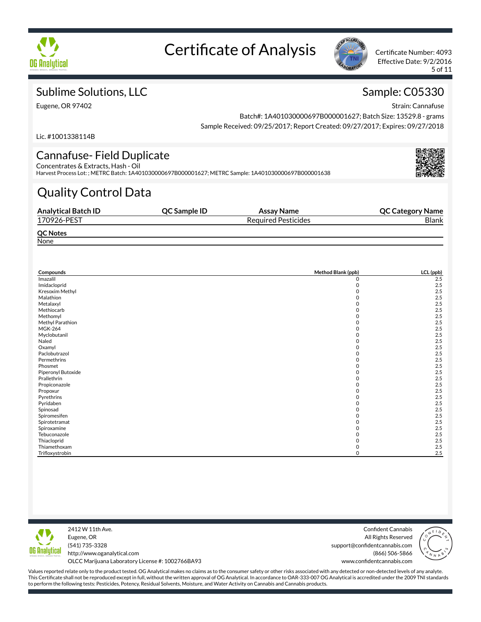



Effective Date: 9/2/2016 5 of 11

### Sublime Solutions, LLC

Eugene, OR 97402

### Sample: C05330

Strain: Cannafuse

Batch#: 1A401030000697B000001627; Batch Size: 13529.8 - grams Sample Received: 09/25/2017; Report Created: 09/27/2017; Expires: 09/27/2018

Lic. #1001338114B

#### Cannafuse- Field Duplicate Concentrates & Extracts, Hash - Oil

Harvest Process Lot: ; METRC Batch: 1A401030000697B000001627; METRC Sample: 1A401030000697B000001638

## Quality Control Data

| <b>Analytical Batch ID</b> | QC Sample ID | Assay Name                 | <b>QC Category Name</b> |
|----------------------------|--------------|----------------------------|-------------------------|
| 170926-PEST                |              | <b>Required Pesticides</b> | <b>Blank</b>            |
| <b>QC Notes</b>            |              |                            |                         |
| None                       |              |                            |                         |

| Compounds          | Method Blank (ppb) | LCL (ppb) |
|--------------------|--------------------|-----------|
| Imazalil           | 0                  | 2.5       |
| Imidacloprid       | 0                  | 2.5       |
| Kresoxim Methyl    |                    | 2.5       |
| Malathion          |                    | 2.5       |
| Metalaxyl          |                    | 2.5       |
| Methiocarb         | 0                  | 2.5       |
| Methomyl           |                    | 2.5       |
| Methyl Parathion   |                    | 2.5       |
| <b>MGK-264</b>     |                    | 2.5       |
| Myclobutanil       |                    | 2.5       |
| Naled              | O                  | 2.5       |
| Oxamyl             |                    | 2.5       |
| Paclobutrazol      |                    | 2.5       |
| Permethrins        |                    | 2.5       |
| Phosmet            | 0                  | 2.5       |
| Piperonyl Butoxide |                    | 2.5       |
| Prallethrin        |                    | 2.5       |
| Propiconazole      |                    | 2.5       |
| Propoxur           |                    | 2.5       |
| Pyrethrins         |                    | 2.5       |
| Pyridaben          |                    | 2.5       |
| Spinosad           |                    | 2.5       |
| Spiromesifen       |                    | 2.5       |
| Spirotetramat      | ი                  | 2.5       |
| Spiroxamine        |                    | 2.5       |
| Tebuconazole       |                    | 2.5       |
| Thiacloprid        |                    | 2.5       |
| Thiamethoxam       | O)                 | 2.5       |
| Trifloxystrobin    | O                  | 2.5       |



2412 W 11th Ave. Eugene, OR (541) 735-3328 http://www.oganalytical.com OLCC Marijuana Laboratory License #: 1002766BA93

Confident Cannabis All Rights Reserved support@confidentcannabis.com (866) 506-5866 www.confidentcannabis.com

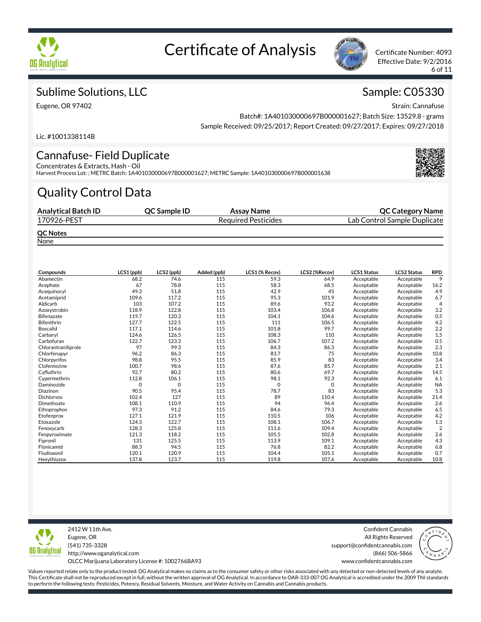



Effective Date: 9/2/2016 6 of 11

### Sublime Solutions, LLC

Eugene, OR 97402

### Sample: C05330

Strain: Cannafuse

Batch#: 1A401030000697B000001627; Batch Size: 13529.8 - grams Sample Received: 09/25/2017; Report Created: 09/27/2017; Expires: 09/27/2018

Lic. #1001338114B

#### Cannafuse- Field Duplicate Concentrates & Extracts, Hash - Oil

Harvest Process Lot: ; METRC Batch: 1A401030000697B000001627; METRC Sample: 1A401030000697B000001638

## Quality Control Data

| <b>Analytical Batch ID</b> | <b>OC Sample ID</b> | Assay Name                 | <b>QC Category Name</b>      |
|----------------------------|---------------------|----------------------------|------------------------------|
| 170926-PEST                |                     | <b>Required Pesticides</b> | Lab Control Sample Duplicate |
| <b>QC Notes</b>            |                     |                            |                              |

**None** 

| Compounds           | LCS1 (ppb) | LCS2 (ppb) | Added (ppb) | LCS1 (% Recov) | LCS2 (%Recov) | LCS1 Status | <b>LCS2 Status</b> | <b>RPD</b>     |
|---------------------|------------|------------|-------------|----------------|---------------|-------------|--------------------|----------------|
| Abamectin           | 68.2       | 74.6       | 115         | 59.3           | 64.9          | Acceptable  | Acceptable         | 9              |
| Acephate            | 67         | 78.8       | 115         | 58.3           | 68.5          | Acceptable  | Acceptable         | 16.2           |
| Acequinocyl         | 49.3       | 51.8       | 115         | 42.9           | 45            | Acceptable  | Acceptable         | 4.9            |
| Acetamiprid         | 109.6      | 117.2      | 115         | 95.3           | 101.9         | Acceptable  | Acceptable         | 6.7            |
| Aldicarb            | 103        | 107.2      | 115         | 89.6           | 93.2          | Acceptable  | Acceptable         | $\overline{4}$ |
| Azoxystrobin        | 118.9      | 122.8      | 115         | 103.4          | 106.8         | Acceptable  | Acceptable         | 3.2            |
| <b>Bifenazate</b>   | 119.7      | 120.3      | 115         | 104.1          | 104.6         | Acceptable  | Acceptable         | 0.5            |
| <b>Bifenthrin</b>   | 127.7      | 122.5      | 115         | 111            | 106.5         | Acceptable  | Acceptable         | 4.2            |
| <b>Boscalid</b>     | 117.1      | 114.6      | 115         | 101.8          | 99.7          | Acceptable  | Acceptable         | 2.2            |
| Carbarvl            | 124.6      | 126.5      | 115         | 108.3          | 110           | Acceptable  | Acceptable         | 1.5            |
| Carbofuran          | 122.7      | 123.3      | 115         | 106.7          | 107.2         | Acceptable  | Acceptable         | 0.5            |
| Chlorantraniliprole | 97         | 99.3       | 115         | 84.3           | 86.3          | Acceptable  | Acceptable         | 2.3            |
| Chlorfenapyr        | 96.2       | 86.3       | 115         | 83.7           | 75            | Acceptable  | Acceptable         | 10.8           |
| Chlorpyrifos        | 98.8       | 95.5       | 115         | 85.9           | 83            | Acceptable  | Acceptable         | 3.4            |
| Clofentezine        | 100.7      | 98.6       | 115         | 87.6           | 85.7          | Acceptable  | Acceptable         | 2.1            |
| Cyfluthrin          | 92.7       | 80.2       | 115         | 80.6           | 69.7          | Acceptable  | Acceptable         | 14.5           |
| Cypermethrin        | 112.8      | 106.1      | 115         | 98.1           | 92.3          | Acceptable  | Acceptable         | 6.1            |
| Daminozide          | 0          | 0          | 115         | 0              | 0             | Acceptable  | Acceptable         | <b>NA</b>      |
| Diazinon            | 90.5       | 95.4       | 115         | 78.7           | 83            | Acceptable  | Acceptable         | 5.3            |
| <b>Dichlorvos</b>   | 102.4      | 127        | 115         | 89             | 110.4         | Acceptable  | Acceptable         | 21.4           |
| Dimethoate          | 108.1      | 110.9      | 115         | 94             | 96.4          | Acceptable  | Acceptable         | 2.6            |
| Ethoprophos         | 97.3       | 91.2       | 115         | 84.6           | 79.3          | Acceptable  | Acceptable         | 6.5            |
| Etofenprox          | 127.1      | 121.9      | 115         | 110.5          | 106           | Acceptable  | Acceptable         | 4.2            |
| Etoxazole           | 124.3      | 122.7      | 115         | 108.1          | 106.7         | Acceptable  | Acceptable         | 1.3            |
| Fenoxycarb          | 128.3      | 125.8      | 115         | 111.6          | 109.4         | Acceptable  | Acceptable         | $\overline{2}$ |
| Fenpyroximate       | 121.3      | 118.2      | 115         | 105.5          | 102.8         | Acceptable  | Acceptable         | 2.6            |
| Fipronil            | 131        | 125.5      | 115         | 113.9          | 109.1         | Acceptable  | Acceptable         | 4.3            |
| Flonicamid          | 88.3       | 94.5       | 115         | 76.8           | 82.2          | Acceptable  | Acceptable         | 6.8            |
| Fludioxonil         | 120.1      | 120.9      | 115         | 104.4          | 105.1         | Acceptable  | Acceptable         | 0.7            |
| Hexythiazox         | 137.8      | 123.7      | 115         | 119.8          | 107.6         | Acceptable  | Acceptable         | 10.8           |



2412 W 11th Ave. Eugene, OR (541) 735-3328 http://www.oganalytical.com OLCC Marijuana Laboratory License #: 1002766BA93

Confident Cannabis All Rights Reserved support@confidentcannabis.com (866) 506-5866

www.confidentcannabis.com

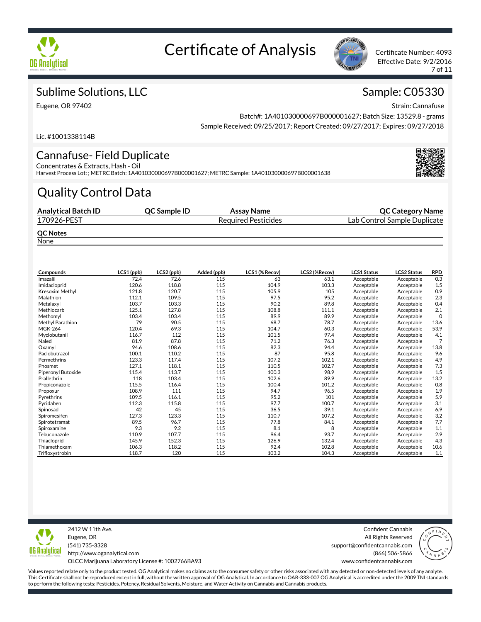



Effective Date: 9/2/2016 7 of 11

### Sublime Solutions, LLC

Eugene, OR 97402

### Sample: C05330

Strain: Cannafuse

Batch#: 1A401030000697B000001627; Batch Size: 13529.8 - grams Sample Received: 09/25/2017; Report Created: 09/27/2017; Expires: 09/27/2018

Lic. #1001338114B

#### Cannafuse- Field Duplicate Concentrates & Extracts, Hash - Oil

Harvest Process Lot: ; METRC Batch: 1A401030000697B000001627; METRC Sample: 1A401030000697B000001638

## Quality Control Data

| <b>Analytical Batch ID</b>                                                                                                                                                                                                                              | <b>OC Sample ID</b> | Assay Name                 | <b>QC Category Name</b>      |
|---------------------------------------------------------------------------------------------------------------------------------------------------------------------------------------------------------------------------------------------------------|---------------------|----------------------------|------------------------------|
| 170926-PEST                                                                                                                                                                                                                                             |                     | <b>Required Pesticides</b> | Lab Control Sample Duplicate |
| <b>QC Notes</b><br><b>Sales Contract Contract Contract Contract Contract Contract Contract Contract Contract Contract Contract Contract Contract Contract Contract Contract Contract Contract Contract Contract Contract Contract Contract Contract</b> |                     |                            |                              |

**None** 

| Compounds          | LCS1 (ppb) | LCS2 (ppb) | Added (ppb) | LCS1 (% Recov) | LCS2 (%Recov) | <b>LCS1 Status</b> | <b>LCS2 Status</b> | <b>RPD</b>     |
|--------------------|------------|------------|-------------|----------------|---------------|--------------------|--------------------|----------------|
| Imazalil           | 72.4       | 72.6       | 115         | 63             | 63.1          | Acceptable         | Acceptable         | 0.3            |
| Imidacloprid       | 120.6      | 118.8      | 115         | 104.9          | 103.3         | Acceptable         | Acceptable         | 1.5            |
| Kresoxim Methyl    | 121.8      | 120.7      | 115         | 105.9          | 105           | Acceptable         | Acceptable         | 0.9            |
| Malathion          | 112.1      | 109.5      | 115         | 97.5           | 95.2          | Acceptable         | Acceptable         | 2.3            |
| Metalaxyl          | 103.7      | 103.3      | 115         | 90.2           | 89.8          | Acceptable         | Acceptable         | 0.4            |
| Methiocarb         | 125.1      | 127.8      | 115         | 108.8          | 111.1         | Acceptable         | Acceptable         | 2.1            |
| Methomyl           | 103.4      | 103.4      | 115         | 89.9           | 89.9          | Acceptable         | Acceptable         | $\mathbf 0$    |
| Methyl Parathion   | 79         | 90.5       | 115         | 68.7           | 78.7          | Acceptable         | Acceptable         | 13.6           |
| <b>MGK-264</b>     | 120.4      | 69.3       | 115         | 104.7          | 60.3          | Acceptable         | Acceptable         | 53.9           |
| Myclobutanil       | 116.7      | 112        | 115         | 101.5          | 97.4          | Acceptable         | Acceptable         | 4.1            |
| Naled              | 81.9       | 87.8       | 115         | 71.2           | 76.3          | Acceptable         | Acceptable         | $\overline{7}$ |
| Oxamyl             | 94.6       | 108.6      | 115         | 82.3           | 94.4          | Acceptable         | Acceptable         | 13.8           |
| Paclobutrazol      | 100.1      | 110.2      | 115         | 87             | 95.8          | Acceptable         | Acceptable         | 9.6            |
| Permethrins        | 123.3      | 117.4      | 115         | 107.2          | 102.1         | Acceptable         | Acceptable         | 4.9            |
| Phosmet            | 127.1      | 118.1      | 115         | 110.5          | 102.7         | Acceptable         | Acceptable         | 7.3            |
| Piperonyl Butoxide | 115.4      | 113.7      | 115         | 100.3          | 98.9          | Acceptable         | Acceptable         | 1.5            |
| Prallethrin        | 118        | 103.4      | 115         | 102.6          | 89.9          | Acceptable         | Acceptable         | 13.2           |
| Propiconazole      | 115.5      | 116.4      | 115         | 100.4          | 101.2         | Acceptable         | Acceptable         | 0.8            |
| Propoxur           | 108.9      | 111        | 115         | 94.7           | 96.5          | Acceptable         | Acceptable         | 1.9            |
| Pyrethrins         | 109.5      | 116.1      | 115         | 95.2           | 101           | Acceptable         | Acceptable         | 5.9            |
| Pyridaben          | 112.3      | 115.8      | 115         | 97.7           | 100.7         | Acceptable         | Acceptable         | 3.1            |
| Spinosad           | 42         | 45         | 115         | 36.5           | 39.1          | Acceptable         | Acceptable         | 6.9            |
| Spiromesifen       | 127.3      | 123.3      | 115         | 110.7          | 107.2         | Acceptable         | Acceptable         | 3.2            |
| Spirotetramat      | 89.5       | 96.7       | 115         | 77.8           | 84.1          | Acceptable         | Acceptable         | 7.7            |
| Spiroxamine        | 9.3        | 9.2        | 115         | 8.1            | 8             | Acceptable         | Acceptable         | 1.1            |
| Tebuconazole       | 110.9      | 107.7      | 115         | 96.4           | 93.7          | Acceptable         | Acceptable         | 2.9            |
| Thiacloprid        | 145.9      | 152.3      | 115         | 126.9          | 132.4         | Acceptable         | Acceptable         | 4.3            |
| Thiamethoxam       | 106.3      | 118.2      | 115         | 92.4           | 102.8         | Acceptable         | Acceptable         | 10.6           |
| Trifloxystrobin    | 118.7      | 120        | 115         | 103.2          | 104.3         | Acceptable         | Acceptable         | 1.1            |



Eugene, OR (541) 735-3328 http://www.oganalytical.com OLCC Marijuana Laboratory License #: 1002766BA93

2412 W 11th Ave.

Confident Cannabis All Rights Reserved support@confidentcannabis.com (866) 506-5866

www.confidentcannabis.com

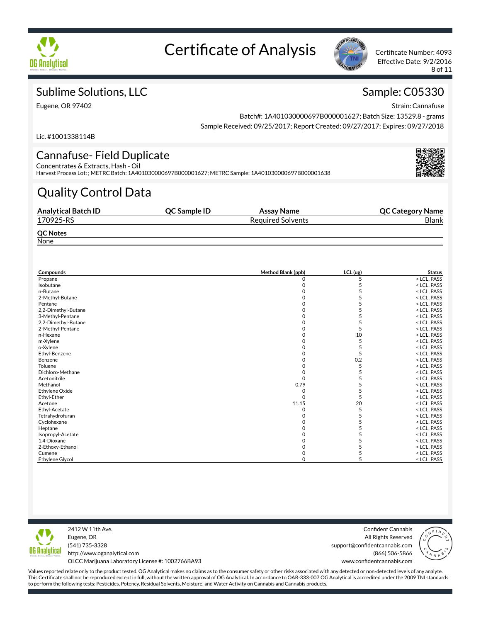



Effective Date: 9/2/2016 8 of 11

### Sublime Solutions, LLC

Eugene, OR 97402

### Sample: C05330

Strain: Cannafuse

Batch#: 1A401030000697B000001627; Batch Size: 13529.8 - grams Sample Received: 09/25/2017; Report Created: 09/27/2017; Expires: 09/27/2018

Lic. #1001338114B

#### Cannafuse- Field Duplicate Concentrates & Extracts, Hash - Oil

Harvest Process Lot: ; METRC Batch: 1A401030000697B000001627; METRC Sample: 1A401030000697B000001638

## Quality Control Data

| <b>Analytical Batch ID</b> | <b>OC Sample ID</b> | Assay Name               | <b>QC Category Name</b> |
|----------------------------|---------------------|--------------------------|-------------------------|
| 170925-RS                  |                     | <b>Required Solvents</b> | <b>Blank</b>            |
| <b>QC Notes</b>            |                     |                          |                         |
| None                       |                     |                          |                         |

| Compounds              | Method Blank (ppb) | $LCL$ (ug) | <b>Status</b> |  |
|------------------------|--------------------|------------|---------------|--|
| Propane                | 0                  | 5          | < LCL, PASS   |  |
| Isobutane              |                    |            | < LCL, PASS   |  |
| n-Butane               |                    |            | < LCL, PASS   |  |
| 2-Methyl-Butane        |                    |            | < LCL, PASS   |  |
| Pentane                |                    |            | < LCL, PASS   |  |
| 2,2-Dimethyl-Butane    |                    |            | < LCL, PASS   |  |
| 3-Methyl-Pentane       |                    |            | < LCL, PASS   |  |
| 2,2-Dimethyl-Butane    |                    |            | < LCL, PASS   |  |
| 2-Methyl-Pentane       |                    |            | < LCL, PASS   |  |
| n-Hexane               |                    | 10         | < LCL, PASS   |  |
| m-Xylene               |                    |            | < LCL, PASS   |  |
| o-Xylene               |                    |            | < LCL, PASS   |  |
| Ethyl-Benzene          |                    |            | < LCL, PASS   |  |
| Benzene                |                    | 0.2        | < LCL, PASS   |  |
| Toluene                |                    |            | < LCL, PASS   |  |
| Dichloro-Methane       |                    |            | < LCL, PASS   |  |
| Acetonitrile           |                    |            | < LCL, PASS   |  |
| Methanol               | 0.79               |            | < LCL, PASS   |  |
| <b>Ethylene Oxide</b>  | O                  |            | < LCL, PASS   |  |
| Ethyl-Ether            | $\Omega$           |            | < LCL, PASS   |  |
| Acetone                | 11.15              | 20         | < LCL, PASS   |  |
| Ethyl-Acetate          |                    |            | < LCL, PASS   |  |
| Tetrahydrofuran        |                    |            | < LCL, PASS   |  |
| Cyclohexane            |                    |            | < LCL, PASS   |  |
| Heptane                |                    |            | < LCL, PASS   |  |
| Isopropyl-Acetate      |                    |            | < LCL, PASS   |  |
| 1,4-Dioxane            |                    |            | < LCL, PASS   |  |
| 2-Ethoxy-Ethanol       |                    |            | < LCL, PASS   |  |
| Cumene                 |                    |            | < LCL, PASS   |  |
| <b>Ethylene Glycol</b> |                    |            | < LCL, PASS   |  |



2412 W 11th Ave. Eugene, OR (541) 735-3328 http://www.oganalytical.com OLCC Marijuana Laboratory License #: 1002766BA93

Confident Cannabis All Rights Reserved support@confidentcannabis.com (866) 506-5866 www.confidentcannabis.com

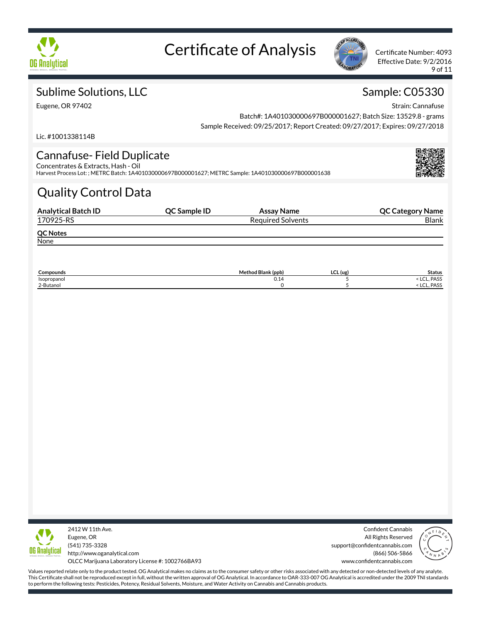



Effective Date: 9/2/2016 9 of 11

### Sublime Solutions, LLC

Eugene, OR 97402

### Sample: C05330

Strain: Cannafuse

Batch#: 1A401030000697B000001627; Batch Size: 13529.8 - grams Sample Received: 09/25/2017; Report Created: 09/27/2017; Expires: 09/27/2018

Lic. #1001338114B

#### Cannafuse- Field Duplicate Concentrates & Extracts, Hash - Oil

Harvest Process Lot: ; METRC Batch: 1A401030000697B000001627; METRC Sample: 1A401030000697B000001638

## Quality Control Data

| <b>Analytical Batch ID</b> | QC Sample ID | Assay Name               | <b>QC Category Name</b> |
|----------------------------|--------------|--------------------------|-------------------------|
| 170925-RS                  |              | <b>Required Solvents</b> | <b>Blank</b>            |
| <b>QC Notes</b>            |              |                          |                         |
| None                       |              |                          |                         |

| $\sim$<br>Compounds | Method Blank (ppb) | $\sim$<br>$LCL$ (ug) | <b>Status</b>          |
|---------------------|--------------------|----------------------|------------------------|
| Isopropanol         | 0.14               |                      | PASS<br>$\sim$<br>LUL. |
| 2-Butanol           |                    |                      | PASS<br>LUL.           |



2412 W 11th Ave. Eugene, OR (541) 735-3328 http://www.oganalytical.com

Confident Cannabis All Rights Reserved support@confidentcannabis.com (866) 506-5866 www.confidentcannabis.com



OLCC Marijuana Laboratory License #: 1002766BA93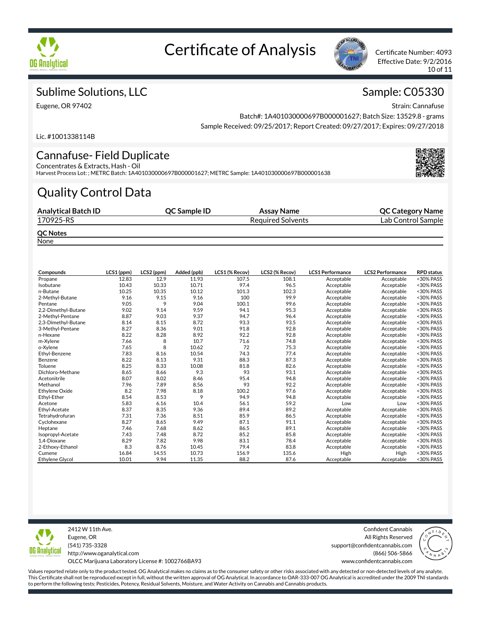



Effective Date: 9/2/2016 10 of 11

### Sublime Solutions, LLC

Eugene, OR 97402

### Sample: C05330

Strain: Cannafuse

Batch#: 1A401030000697B000001627; Batch Size: 13529.8 - grams Sample Received: 09/25/2017; Report Created: 09/27/2017; Expires: 09/27/2018

Lic. #1001338114B

#### Cannafuse- Field Duplicate Concentrates & Extracts, Hash - Oil

Harvest Process Lot: ; METRC Batch: 1A401030000697B000001627; METRC Sample: 1A401030000697B000001638

## Quality Control Data

| <b>Analytical Batch ID</b>                                                                                                                                                                                                                              | <b>OC Sample ID</b> | Assay Name               | <b>QC Category Name</b> |
|---------------------------------------------------------------------------------------------------------------------------------------------------------------------------------------------------------------------------------------------------------|---------------------|--------------------------|-------------------------|
| 170925-RS                                                                                                                                                                                                                                               |                     | <b>Required Solvents</b> | Lab Control Sample      |
| <b>QC Notes</b><br><b>Sales Contract Contract Contract Contract Contract Contract Contract Contract Contract Contract Contract Contract Contract Contract Contract Contract Contract Contract Contract Contract Contract Contract Contract Contract</b> |                     |                          |                         |

**None** 

| Compounds              | LCS1 (ppm) | LCS2 (ppm) | Added (ppb) | LCS1 (% Recov) | LCS2 (% Recov) | <b>LCS1 Performance</b> | <b>LCS2 Performance</b> | <b>RPD</b> status |
|------------------------|------------|------------|-------------|----------------|----------------|-------------------------|-------------------------|-------------------|
| Propane                | 12.83      | 12.9       | 11.93       | 107.5          | 108.1          | Acceptable              | Acceptable              | <30% PASS         |
| Isobutane              | 10.43      | 10.33      | 10.71       | 97.4           | 96.5           | Acceptable              | Acceptable              | <30% PASS         |
| n-Butane               | 10.25      | 10.35      | 10.12       | 101.3          | 102.3          | Acceptable              | Acceptable              | <30% PASS         |
| 2-Methyl-Butane        | 9.16       | 9.15       | 9.16        | 100            | 99.9           | Acceptable              | Acceptable              | <30% PASS         |
| Pentane                | 9.05       | 9          | 9.04        | 100.1          | 99.6           | Acceptable              | Acceptable              | <30% PASS         |
| 2,2-Dimethyl-Butane    | 9.02       | 9.14       | 9.59        | 94.1           | 95.3           | Acceptable              | Acceptable              | <30% PASS         |
| 2-Methyl-Pentane       | 8.87       | 9.03       | 9.37        | 94.7           | 96.4           | Acceptable              | Acceptable              | <30% PASS         |
| 2,3-Dimethyl-Butane    | 8.14       | 8.15       | 8.72        | 93.3           | 93.5           | Acceptable              | Acceptable              | <30% PASS         |
| 3-Methyl-Pentane       | 8.27       | 8.36       | 9.01        | 91.8           | 92.8           | Acceptable              | Acceptable              | <30% PASS         |
| n-Hexane               | 8.22       | 8.28       | 8.92        | 92.2           | 92.8           | Acceptable              | Acceptable              | <30% PASS         |
| m-Xylene               | 7.66       | 8          | 10.7        | 71.6           | 74.8           | Acceptable              | Acceptable              | <30% PASS         |
| o-Xylene               | 7.65       | 8          | 10.62       | 72             | 75.3           | Acceptable              | Acceptable              | <30% PASS         |
| Ethyl-Benzene          | 7.83       | 8.16       | 10.54       | 74.3           | 77.4           | Acceptable              | Acceptable              | <30% PASS         |
| Benzene                | 8.22       | 8.13       | 9.31        | 88.3           | 87.3           | Acceptable              | Acceptable              | <30% PASS         |
| Toluene                | 8.25       | 8.33       | 10.08       | 81.8           | 82.6           | Acceptable              | Acceptable              | <30% PASS         |
| Dichloro-Methane       | 8.65       | 8.66       | 9.3         | 93             | 93.1           | Acceptable              | Acceptable              | <30% PASS         |
| Acetonitrile           | 8.07       | 8.02       | 8.46        | 95.4           | 94.8           | Acceptable              | Acceptable              | <30% PASS         |
| Methanol               | 7.96       | 7.89       | 8.56        | 93             | 92.2           | Acceptable              | Acceptable              | <30% PASS         |
| <b>Ethylene Oxide</b>  | 8.2        | 7.98       | 8.18        | 100.2          | 97.6           | Acceptable              | Acceptable              | <30% PASS         |
| Ethyl-Ether            | 8.54       | 8.53       | 9           | 94.9           | 94.8           | Acceptable              | Acceptable              | <30% PASS         |
| Acetone                | 5.83       | 6.16       | 10.4        | 56.1           | 59.2           | Low                     | Low                     | <30% PASS         |
| Ethyl-Acetate          | 8.37       | 8.35       | 9.36        | 89.4           | 89.2           | Acceptable              | Acceptable              | <30% PASS         |
| Tetrahydrofuran        | 7.31       | 7.36       | 8.51        | 85.9           | 86.5           | Acceptable              | Acceptable              | <30% PASS         |
| Cyclohexane            | 8.27       | 8.65       | 9.49        | 87.1           | 91.1           | Acceptable              | Acceptable              | <30% PASS         |
| Heptane                | 7.46       | 7.68       | 8.62        | 86.5           | 89.1           | Acceptable              | Acceptable              | <30% PASS         |
| Isopropyl-Acetate      | 7.43       | 7.48       | 8.72        | 85.2           | 85.8           | Acceptable              | Acceptable              | <30% PASS         |
| 1,4-Dioxane            | 8.29       | 7.82       | 9.98        | 83.1           | 78.4           | Acceptable              | Acceptable              | <30% PASS         |
| 2-Ethoxy-Ethanol       | 8.3        | 8.76       | 10.45       | 79.4           | 83.8           | Acceptable              | Acceptable              | <30% PASS         |
| Cumene                 | 16.84      | 14.55      | 10.73       | 156.9          | 135.6          | High                    | High                    | <30% PASS         |
| <b>Ethylene Glycol</b> | 10.01      | 9.94       | 11.35       | 88.2           | 87.6           | Acceptable              | Acceptable              | <30% PASS         |



2412 W 11th Ave. Eugene, OR (541) 735-3328 http://www.oganalytical.com OLCC Marijuana Laboratory License #: 1002766BA93

Confident Cannabis All Rights Reserved support@confidentcannabis.com (866) 506-5866